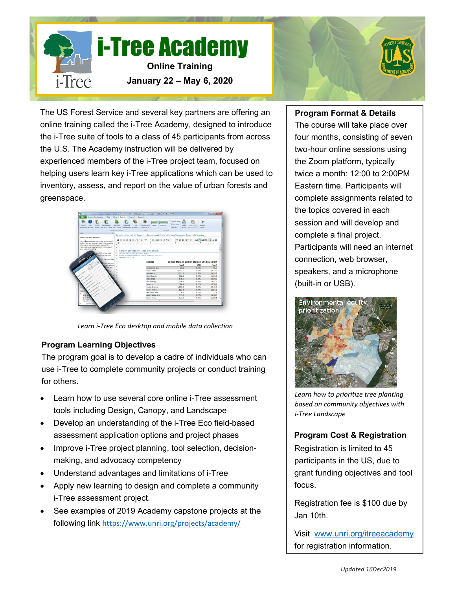



The US Forest Service and several key partners are offering an online training called the i-Tree Academy, designed to introduce the i-Tree suite of tools to a class of 45 participants from across the U.S. The Academy instruction will be delivered by experienced members of the i-Tree project team, focused on helping users learn key i-Tree applications which can be used to inventory, assess, and report on the value of urban forests and greenspace.



*Learn i-Tree Eco desktop and mobile data collection*

# **Program Learning Objectives**

The program goal is to develop a cadre of individuals who can use i-Tree to complete community projects or conduct training for others.

- Learn how to use several core online i-Tree assessment tools including Design, Canopy, and Landscape
- Develop an understanding of the i-Tree Eco field-based assessment application options and project phases
- Improve i-Tree project planning, tool selection, decisionmaking, and advocacy competency
- Understand advantages and limitations of i-Tree
- Apply new learning to design and complete a community i-Tree assessment project.
- See examples of 2019 Academy capstone projects at the following link <https://www.unri.org/projects/academy/>

# **Program Format & Details**

The course will take place over four months, consisting of seven two-hour online sessions using the Zoom platform, typically twice a month: 12:00 to 2:00PM Eastern time. Participants will complete assignments related to the topics covered in each session and will develop and complete a final project. Participants will need an internet connection, web browser, speakers, and a microphone (built-in or USB).



*Learn how to prioritize tree planting based on community objectives with i-Tree Landscape*

# **Program Cost & Registration**

Registration is limited to 45 participants in the US, due to grant funding objectives and tool focus.

Registration fee is \$100 due by Jan 10th.

Visit [www.unri.org/itreeacademy](about:blank) for registration information.